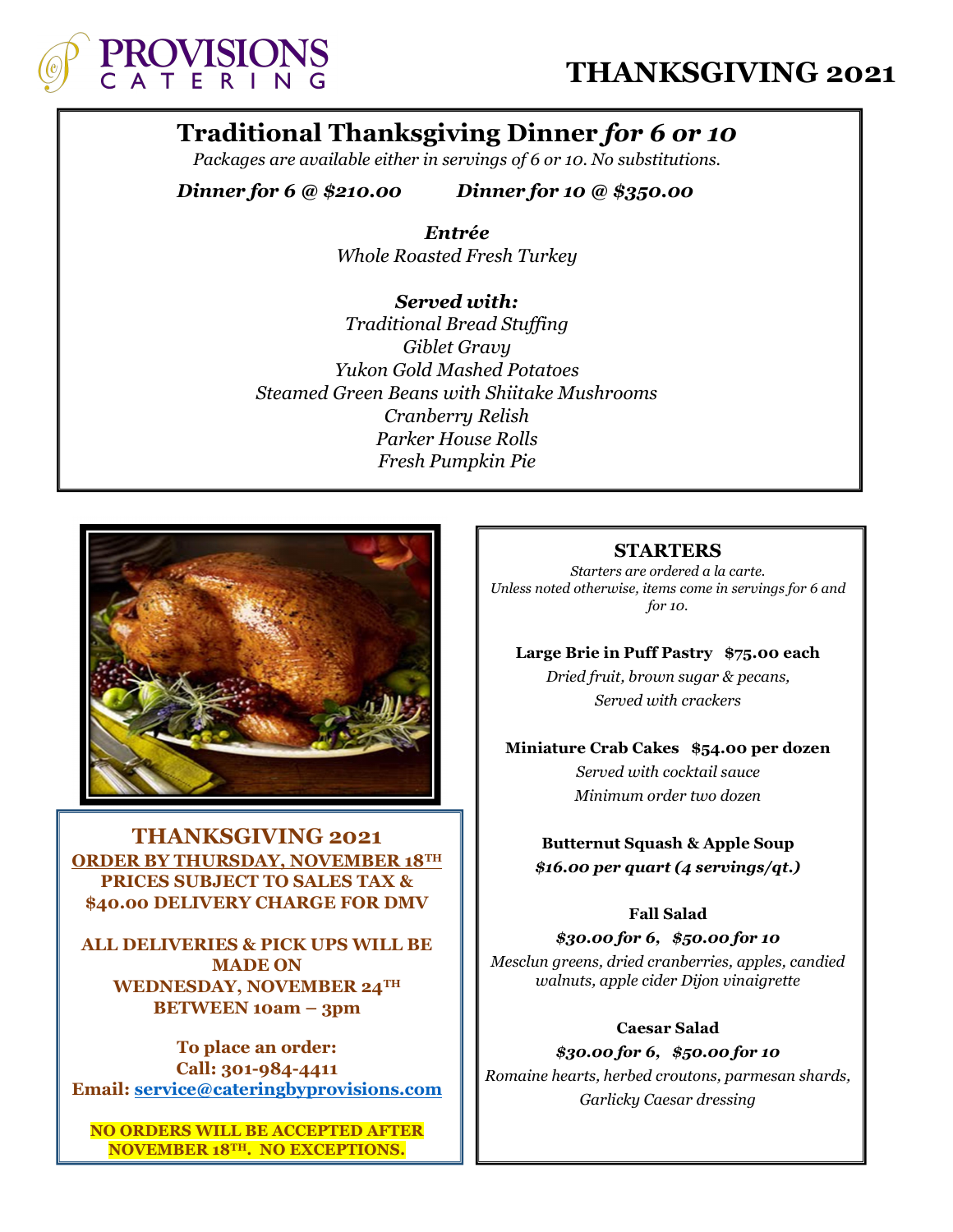

# Traditional Thanksgiving Dinner for 6 or 10

Packages are available either in servings of 6 or 10. No substitutions.

Dinner for 6 @ \$210.00 Dinner for 10 @ \$350.00

Entrée Whole Roasted Fresh Turkey

Served with: Traditional Bread Stuffing Giblet Gravy Yukon Gold Mashed Potatoes Steamed Green Beans with Shiitake Mushrooms Cranberry Relish Parker House Rolls Fresh Pumpkin Pie



THANKSGIVING 2021 ORDER BY THURSDAY, NOVEMBER 18TH PRICES SUBJECT TO SALES TAX & \$40.00 DELIVERY CHARGE FOR DMV

I

ALL DELIVERIES & PICK UPS WILL BE MADE ON WEDNESDAY, NOVEMBER 24TH BETWEEN 10am – 3pm

To place an order: Call: 301-984-4411 Email: service@cateringbyprovisions.com

NO ORDERS WILL BE ACCEPTED AFTER NOVEMBER 18TH. NO EXCEPTIONS.

#### STARTERS

Starters are ordered a la carte. Unless noted otherwise, items come in servings for 6 and for 10.

Large Brie in Puff Pastry \$75.00 each

Dried fruit, brown sugar & pecans, Served with crackers

Miniature Crab Cakes \$54.00 per dozen

Served with cocktail sauce Minimum order two dozen

Butternut Squash & Apple Soup \$16.00 per quart (4 servings/qt.)

#### Fall Salad

\$30.00 for 6, \$50.00 for 10 Mesclun greens, dried cranberries, apples, candied walnuts, apple cider Dijon vinaigrette

Caesar Salad \$30.00 for 6, \$50.00 for 10 Romaine hearts, herbed croutons, parmesan shards, Garlicky Caesar dressing